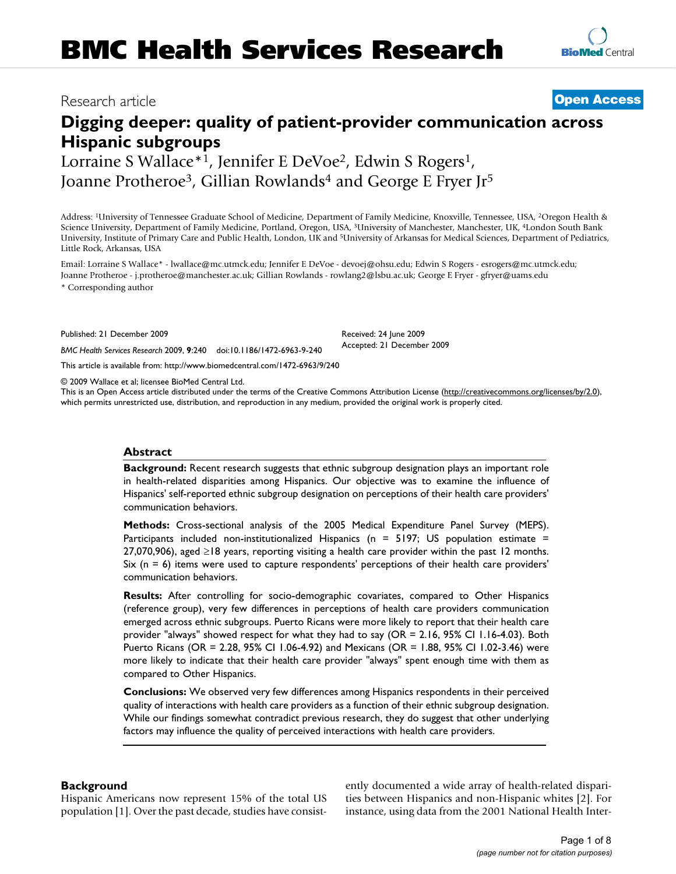# **Digging deeper: quality of patient-provider communication across Hispanic subgroups**

Lorraine S Wallace\*1, Jennifer E DeVoe<sup>2</sup>, Edwin S Rogers<sup>1</sup>, Joanne Protheroe<sup>3</sup>, Gillian Rowlands<sup>4</sup> and George E Fryer Jr<sup>5</sup>

Address: 1University of Tennessee Graduate School of Medicine, Department of Family Medicine, Knoxville, Tennessee, USA, 2Oregon Health & Science University, Department of Family Medicine, Portland, Oregon, USA, 3University of Manchester, Manchester, UK, 4London South Bank University, Institute of Primary Care and Public Health, London, UK and 5University of Arkansas for Medical Sciences, Department of Pediatrics, Little Rock, Arkansas, USA

Email: Lorraine S Wallace\* - lwallace@mc.utmck.edu; Jennifer E DeVoe - devoej@ohsu.edu; Edwin S Rogers - esrogers@mc.utmck.edu; Joanne Protheroe - j.protheroe@manchester.ac.uk; Gillian Rowlands - rowlang2@lsbu.ac.uk; George E Fryer - gfryer@uams.edu

\* Corresponding author

Published: 21 December 2009

*BMC Health Services Research* 2009, **9**:240 doi:10.1186/1472-6963-9-240

[This article is available from: http://www.biomedcentral.com/1472-6963/9/240](http://www.biomedcentral.com/1472-6963/9/240)

© 2009 Wallace et al; licensee BioMed Central Ltd.

This is an Open Access article distributed under the terms of the Creative Commons Attribution License [\(http://creativecommons.org/licenses/by/2.0\)](http://creativecommons.org/licenses/by/2.0), which permits unrestricted use, distribution, and reproduction in any medium, provided the original work is properly cited.

#### **Abstract**

**Background:** Recent research suggests that ethnic subgroup designation plays an important role in health-related disparities among Hispanics. Our objective was to examine the influence of Hispanics' self-reported ethnic subgroup designation on perceptions of their health care providers' communication behaviors.

**Methods:** Cross-sectional analysis of the 2005 Medical Expenditure Panel Survey (MEPS). Participants included non-institutionalized Hispanics (n = 5197; US population estimate = 27,070,906), aged ≥18 years, reporting visiting a health care provider within the past 12 months. Six  $(n = 6)$  items were used to capture respondents' perceptions of their health care providers' communication behaviors.

**Results:** After controlling for socio-demographic covariates, compared to Other Hispanics (reference group), very few differences in perceptions of health care providers communication emerged across ethnic subgroups. Puerto Ricans were more likely to report that their health care provider "always" showed respect for what they had to say (OR = 2.16, 95% CI 1.16-4.03). Both Puerto Ricans (OR = 2.28, 95% CI 1.06-4.92) and Mexicans (OR = 1.88, 95% CI 1.02-3.46) were more likely to indicate that their health care provider "always" spent enough time with them as compared to Other Hispanics.

**Conclusions:** We observed very few differences among Hispanics respondents in their perceived quality of interactions with health care providers as a function of their ethnic subgroup designation. While our findings somewhat contradict previous research, they do suggest that other underlying factors may influence the quality of perceived interactions with health care providers.

### **Background**

Hispanic Americans now represent 15% of the total US population [1]. Over the past decade, studies have consistently documented a wide array of health-related disparities between Hispanics and non-Hispanic whites [2]. For instance, using data from the 2001 National Health Inter-



## Research article **[Open Access](http://www.biomedcentral.com/info/about/charter/)**

Received: 24 June 2009 Accepted: 21 December 2009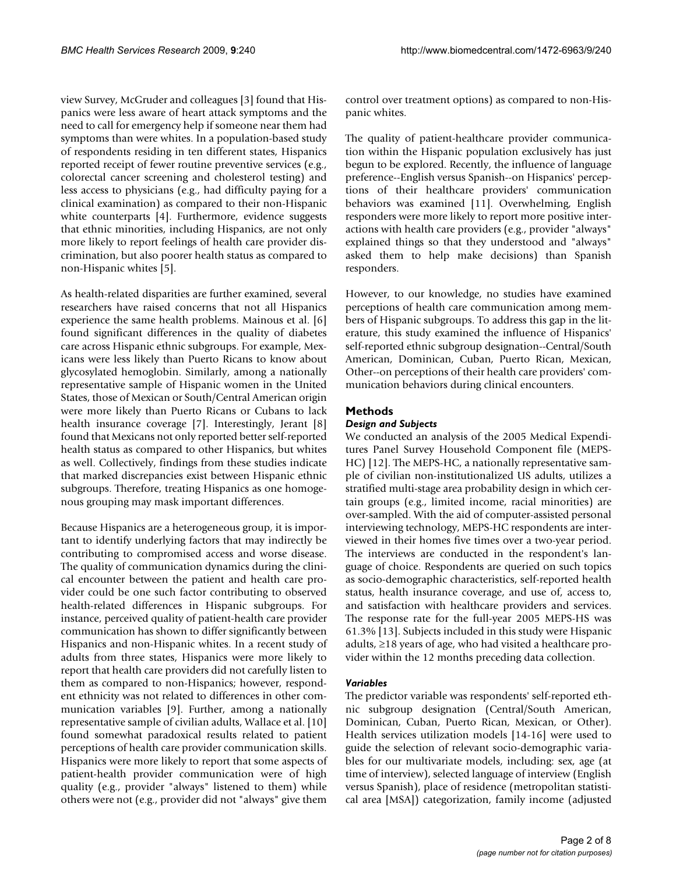view Survey, McGruder and colleagues [3] found that Hispanics were less aware of heart attack symptoms and the need to call for emergency help if someone near them had symptoms than were whites. In a population-based study of respondents residing in ten different states, Hispanics reported receipt of fewer routine preventive services (e.g., colorectal cancer screening and cholesterol testing) and less access to physicians (e.g., had difficulty paying for a clinical examination) as compared to their non-Hispanic white counterparts [4]. Furthermore, evidence suggests that ethnic minorities, including Hispanics, are not only more likely to report feelings of health care provider discrimination, but also poorer health status as compared to non-Hispanic whites [5].

As health-related disparities are further examined, several researchers have raised concerns that not all Hispanics experience the same health problems. Mainous et al. [6] found significant differences in the quality of diabetes care across Hispanic ethnic subgroups. For example, Mexicans were less likely than Puerto Ricans to know about glycosylated hemoglobin. Similarly, among a nationally representative sample of Hispanic women in the United States, those of Mexican or South/Central American origin were more likely than Puerto Ricans or Cubans to lack health insurance coverage [7]. Interestingly, Jerant [8] found that Mexicans not only reported better self-reported health status as compared to other Hispanics, but whites as well. Collectively, findings from these studies indicate that marked discrepancies exist between Hispanic ethnic subgroups. Therefore, treating Hispanics as one homogenous grouping may mask important differences.

Because Hispanics are a heterogeneous group, it is important to identify underlying factors that may indirectly be contributing to compromised access and worse disease. The quality of communication dynamics during the clinical encounter between the patient and health care provider could be one such factor contributing to observed health-related differences in Hispanic subgroups. For instance, perceived quality of patient-health care provider communication has shown to differ significantly between Hispanics and non-Hispanic whites. In a recent study of adults from three states, Hispanics were more likely to report that health care providers did not carefully listen to them as compared to non-Hispanics; however, respondent ethnicity was not related to differences in other communication variables [9]. Further, among a nationally representative sample of civilian adults, Wallace et al. [10] found somewhat paradoxical results related to patient perceptions of health care provider communication skills. Hispanics were more likely to report that some aspects of patient-health provider communication were of high quality (e.g., provider "always" listened to them) while others were not (e.g., provider did not "always" give them

control over treatment options) as compared to non-Hispanic whites.

The quality of patient-healthcare provider communication within the Hispanic population exclusively has just begun to be explored. Recently, the influence of language preference--English versus Spanish--on Hispanics' perceptions of their healthcare providers' communication behaviors was examined [11]. Overwhelming, English responders were more likely to report more positive interactions with health care providers (e.g., provider "always" explained things so that they understood and "always" asked them to help make decisions) than Spanish responders.

However, to our knowledge, no studies have examined perceptions of health care communication among members of Hispanic subgroups. To address this gap in the literature, this study examined the influence of Hispanics' self-reported ethnic subgroup designation--Central/South American, Dominican, Cuban, Puerto Rican, Mexican, Other--on perceptions of their health care providers' communication behaviors during clinical encounters.

### **Methods**

### *Design and Subjects*

We conducted an analysis of the 2005 Medical Expenditures Panel Survey Household Component file (MEPS-HC) [12]. The MEPS-HC, a nationally representative sample of civilian non-institutionalized US adults, utilizes a stratified multi-stage area probability design in which certain groups (e.g., limited income, racial minorities) are over-sampled. With the aid of computer-assisted personal interviewing technology, MEPS-HC respondents are interviewed in their homes five times over a two-year period. The interviews are conducted in the respondent's language of choice. Respondents are queried on such topics as socio-demographic characteristics, self-reported health status, health insurance coverage, and use of, access to, and satisfaction with healthcare providers and services. The response rate for the full-year 2005 MEPS-HS was 61.3% [13]. Subjects included in this study were Hispanic adults, ≥18 years of age, who had visited a healthcare provider within the 12 months preceding data collection.

### *Variables*

The predictor variable was respondents' self-reported ethnic subgroup designation (Central/South American, Dominican, Cuban, Puerto Rican, Mexican, or Other). Health services utilization models [14-16] were used to guide the selection of relevant socio-demographic variables for our multivariate models, including: sex, age (at time of interview), selected language of interview (English versus Spanish), place of residence (metropolitan statistical area [MSA]) categorization, family income (adjusted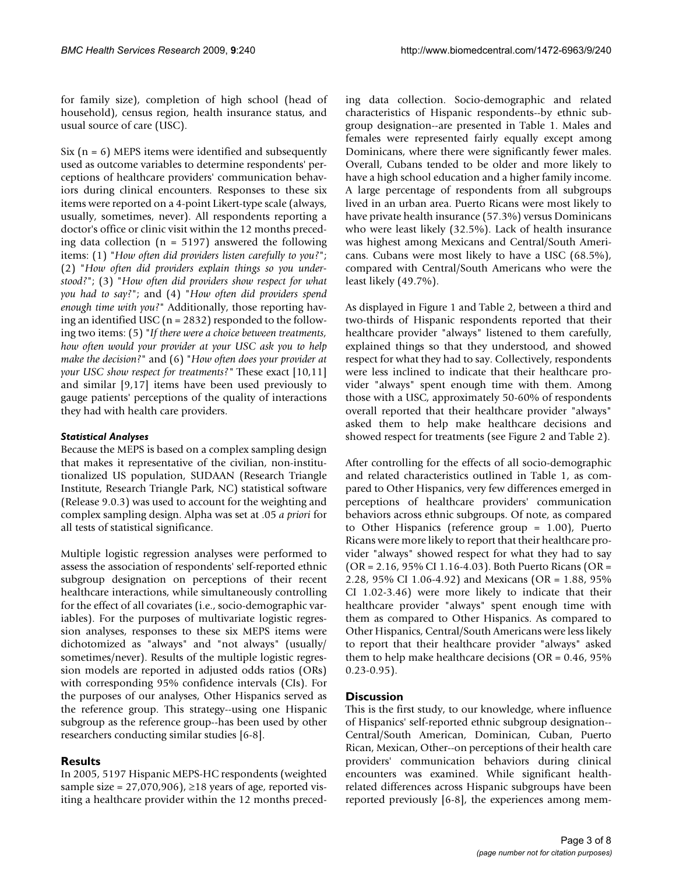for family size), completion of high school (head of household), census region, health insurance status, and usual source of care (USC).

Six  $(n = 6)$  MEPS items were identified and subsequently used as outcome variables to determine respondents' perceptions of healthcare providers' communication behaviors during clinical encounters. Responses to these six items were reported on a 4-point Likert-type scale (always, usually, sometimes, never). All respondents reporting a doctor's office or clinic visit within the 12 months preceding data collection ( $n = 5197$ ) answered the following items: (1) "*How often did providers listen carefully to you?*"; (2) "*How often did providers explain things so you understood?*"; (3) "*How often did providers show respect for what you had to say?*"; and (4) "*How often did providers spend enough time with you?*" Additionally, those reporting having an identified USC (n = 2832) responded to the following two items: (5) "*If there were a choice between treatments, how often would your provider at your USC ask you to help make the decision?*" and (6) "*How often does your provider at your USC show respect for treatments?"* These exact [10,11] and similar [9,17] items have been used previously to gauge patients' perceptions of the quality of interactions they had with health care providers.

### *Statistical Analyses*

Because the MEPS is based on a complex sampling design that makes it representative of the civilian, non-institutionalized US population, SUDAAN (Research Triangle Institute, Research Triangle Park, NC) statistical software (Release 9.0.3) was used to account for the weighting and complex sampling design. Alpha was set at .05 *a priori* for all tests of statistical significance.

Multiple logistic regression analyses were performed to assess the association of respondents' self-reported ethnic subgroup designation on perceptions of their recent healthcare interactions, while simultaneously controlling for the effect of all covariates (i.e., socio-demographic variables). For the purposes of multivariate logistic regression analyses, responses to these six MEPS items were dichotomized as "always" and "not always" (usually/ sometimes/never). Results of the multiple logistic regression models are reported in adjusted odds ratios (ORs) with corresponding 95% confidence intervals (CIs). For the purposes of our analyses, Other Hispanics served as the reference group. This strategy--using one Hispanic subgroup as the reference group--has been used by other researchers conducting similar studies [6-8].

### **Results**

In 2005, 5197 Hispanic MEPS-HC respondents (weighted sample size =  $27,070,906$ ),  $\geq 18$  years of age, reported visiting a healthcare provider within the 12 months preceding data collection. Socio-demographic and related characteristics of Hispanic respondents--by ethnic subgroup designation--are presented in Table 1. Males and females were represented fairly equally except among Dominicans, where there were significantly fewer males. Overall, Cubans tended to be older and more likely to have a high school education and a higher family income. A large percentage of respondents from all subgroups lived in an urban area. Puerto Ricans were most likely to have private health insurance (57.3%) versus Dominicans who were least likely (32.5%). Lack of health insurance was highest among Mexicans and Central/South Americans. Cubans were most likely to have a USC (68.5%), compared with Central/South Americans who were the least likely (49.7%).

As displayed in Figure 1 and Table 2, between a third and two-thirds of Hispanic respondents reported that their healthcare provider "always" listened to them carefully, explained things so that they understood, and showed respect for what they had to say. Collectively, respondents were less inclined to indicate that their healthcare provider "always" spent enough time with them. Among those with a USC, approximately 50-60% of respondents overall reported that their healthcare provider "always" asked them to help make healthcare decisions and showed respect for treatments (see Figure 2 and Table 2).

After controlling for the effects of all socio-demographic and related characteristics outlined in Table 1, as compared to Other Hispanics, very few differences emerged in perceptions of healthcare providers' communication behaviors across ethnic subgroups. Of note, as compared to Other Hispanics (reference group = 1.00), Puerto Ricans were more likely to report that their healthcare provider "always" showed respect for what they had to say  $(OR = 2.16, 95\% \text{ CI } 1.16 - 4.03)$ . Both Puerto Ricans  $(OR = 1.16, 95\%)$ 2.28, 95% CI 1.06-4.92) and Mexicans (OR = 1.88, 95% CI 1.02-3.46) were more likely to indicate that their healthcare provider "always" spent enough time with them as compared to Other Hispanics. As compared to Other Hispanics, Central/South Americans were less likely to report that their healthcare provider "always" asked them to help make healthcare decisions ( $OR = 0.46$ ,  $95\%$ 0.23-0.95).

### **Discussion**

This is the first study, to our knowledge, where influence of Hispanics' self-reported ethnic subgroup designation-- Central/South American, Dominican, Cuban, Puerto Rican, Mexican, Other--on perceptions of their health care providers' communication behaviors during clinical encounters was examined. While significant healthrelated differences across Hispanic subgroups have been reported previously [6-8], the experiences among mem-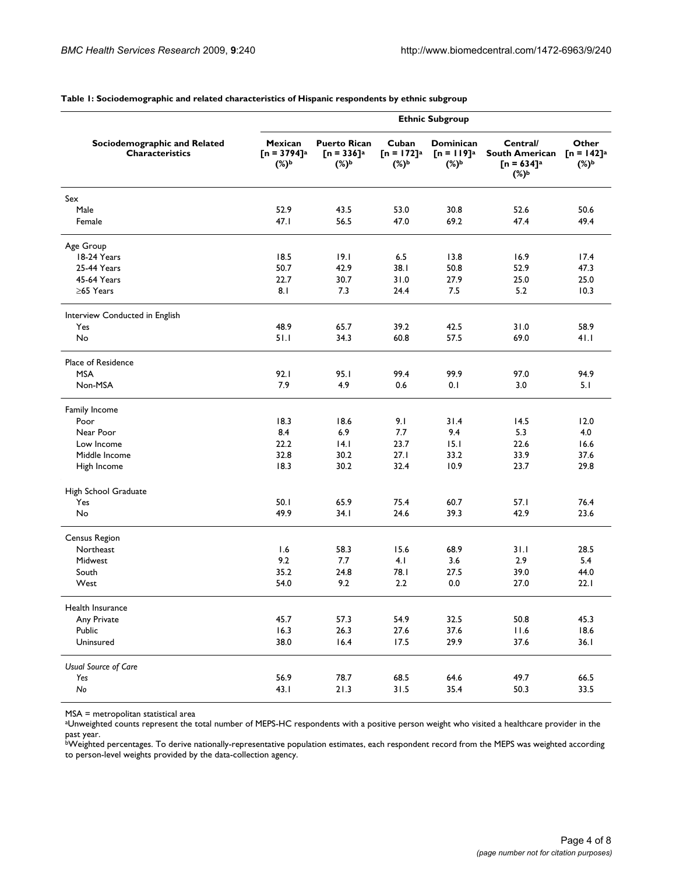| Sociodemographic and Related<br><b>Characteristics</b> | <b>Ethnic Subgroup</b>                                   |                                                                              |                                                |                                                |                                                                           |                                                        |
|--------------------------------------------------------|----------------------------------------------------------|------------------------------------------------------------------------------|------------------------------------------------|------------------------------------------------|---------------------------------------------------------------------------|--------------------------------------------------------|
|                                                        | Mexican<br>$[n = 3794]$ <sup>a</sup><br>(%) <sup>b</sup> | <b>Puerto Rican</b><br>$\Gamma$ n = 336] <sup>a</sup><br>$(\%)^{\mathsf{b}}$ | Cuban<br>$\lceil n = 172 \rceil^a$<br>$(\%)^b$ | Dominican<br>$\lceil n = 119 \rceil^a$<br>(%)b | Central/<br><b>South American</b><br>$[n = 634]$ <sup>a</sup><br>$(\%)^b$ | Other<br>$\lceil n = 142 \rceil^a$<br>(%) <sup>b</sup> |
| Sex                                                    |                                                          |                                                                              |                                                |                                                |                                                                           |                                                        |
| Male                                                   | 52.9                                                     | 43.5                                                                         | 53.0                                           | 30.8                                           | 52.6                                                                      | 50.6                                                   |
| Female                                                 | 47.1                                                     | 56.5                                                                         | 47.0                                           | 69.2                                           | 47.4                                                                      | 49.4                                                   |
| Age Group                                              |                                                          |                                                                              |                                                |                                                |                                                                           |                                                        |
| 18-24 Years                                            | 18.5                                                     | 9.1                                                                          | 6.5                                            | 13.8                                           | 16.9                                                                      | 17.4                                                   |
| 25-44 Years                                            | 50.7                                                     | 42.9                                                                         | 38.1                                           | 50.8                                           | 52.9                                                                      | 47.3                                                   |
| 45-64 Years                                            | 22.7                                                     | 30.7                                                                         | 31.0                                           | 27.9                                           | 25.0                                                                      | 25.0                                                   |
| $\geq$ 65 Years                                        | 8.1                                                      | 7.3                                                                          | 24.4                                           | 7.5                                            | 5.2                                                                       | 10.3                                                   |
| Interview Conducted in English                         |                                                          |                                                                              |                                                |                                                |                                                                           |                                                        |
| Yes                                                    | 48.9                                                     | 65.7                                                                         | 39.2                                           | 42.5                                           | 31.0                                                                      | 58.9                                                   |
| No                                                     | 51.1                                                     | 34.3                                                                         | 60.8                                           | 57.5                                           | 69.0                                                                      | 41.1                                                   |
| Place of Residence                                     |                                                          |                                                                              |                                                |                                                |                                                                           |                                                        |
| <b>MSA</b>                                             | 92.1                                                     | 95.I                                                                         | 99.4                                           | 99.9                                           | 97.0                                                                      | 94.9                                                   |
| Non-MSA                                                | 7.9                                                      | 4.9                                                                          | 0.6                                            | 0.1                                            | 3.0                                                                       | 5.1                                                    |
| Family Income                                          |                                                          |                                                                              |                                                |                                                |                                                                           |                                                        |
| Poor                                                   | 18.3                                                     | 18.6                                                                         | 9.1                                            | 31.4                                           | 14.5                                                                      | 12.0                                                   |
| Near Poor                                              | 8.4                                                      | 6.9                                                                          | 7.7                                            | 9.4                                            | 5.3                                                                       | 4.0                                                    |
| Low Income                                             | 22.2                                                     | 4.1                                                                          | 23.7                                           | 15.1                                           | 22.6                                                                      | 16.6                                                   |
| Middle Income                                          | 32.8                                                     | 30.2                                                                         | 27.1                                           | 33.2                                           | 33.9                                                                      | 37.6                                                   |
| High Income                                            | 18.3                                                     | 30.2                                                                         | 32.4                                           | 10.9                                           | 23.7                                                                      | 29.8                                                   |
| High School Graduate                                   |                                                          |                                                                              |                                                |                                                |                                                                           |                                                        |
| Yes                                                    | 50.1                                                     | 65.9                                                                         | 75.4                                           | 60.7                                           | 57.I                                                                      | 76.4                                                   |
| No                                                     | 49.9                                                     | 34.1                                                                         | 24.6                                           | 39.3                                           | 42.9                                                                      | 23.6                                                   |
| Census Region                                          |                                                          |                                                                              |                                                |                                                |                                                                           |                                                        |
| Northeast                                              | 1.6                                                      | 58.3                                                                         | 15.6                                           | 68.9                                           | 31.1                                                                      | 28.5                                                   |
| Midwest                                                | 9.2                                                      | 7.7                                                                          | 4.1                                            | 3.6                                            | 2.9                                                                       | 5.4                                                    |
| South                                                  | 35.2                                                     | 24.8                                                                         | 78. I                                          | 27.5                                           | 39.0                                                                      | 44.0                                                   |
| West                                                   | 54.0                                                     | 9.2                                                                          | 2.2                                            | 0.0                                            | 27.0                                                                      | 22.1                                                   |
| Health Insurance                                       |                                                          |                                                                              |                                                |                                                |                                                                           |                                                        |
| Any Private                                            | 45.7                                                     | 57.3                                                                         | 54.9                                           | 32.5                                           | 50.8                                                                      | 45.3                                                   |
| Public                                                 | 16.3                                                     | 26.3                                                                         | 27.6                                           | 37.6                                           | 11.6                                                                      | 18.6                                                   |
| Uninsured                                              | 38.0                                                     | 16.4                                                                         | 17.5                                           | 29.9                                           | 37.6                                                                      | 36.1                                                   |
| Usual Source of Care                                   |                                                          |                                                                              |                                                |                                                |                                                                           |                                                        |
| Yes                                                    | 56.9                                                     | 78.7                                                                         | 68.5                                           | 64.6                                           | 49.7                                                                      | 66.5                                                   |
| $\mathsf{N}\mathsf{o}$                                 | 43.1                                                     | 21.3                                                                         | 31.5                                           | 35.4                                           | 50.3                                                                      | 33.5                                                   |

**Table 1: Sociodemographic and related characteristics of Hispanic respondents by ethnic subgroup**

MSA = metropolitan statistical area

aUnweighted counts represent the total number of MEPS-HC respondents with a positive person weight who visited a healthcare provider in the past year.

bWeighted percentages. To derive nationally-representative population estimates, each respondent record from the MEPS was weighted according to person-level weights provided by the data-collection agency.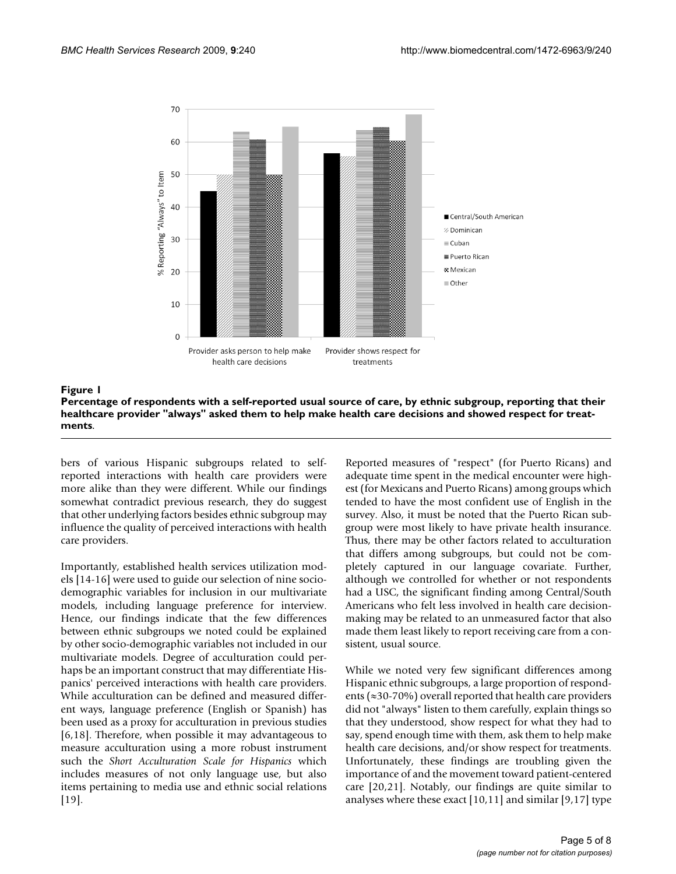

Figure 1 and 2008 and 2008 and 2008 and 2008 and 2008 and 2008 and 2008 and 2008 and 2008 and 2008 and 2008 an

**Percentage of respondents with a self-reported usual source of care, by ethnic subgroup, reporting that their healthcare provider "always" asked them to help make health care decisions and showed respect for treatments**.

bers of various Hispanic subgroups related to selfreported interactions with health care providers were more alike than they were different. While our findings somewhat contradict previous research, they do suggest that other underlying factors besides ethnic subgroup may influence the quality of perceived interactions with health care providers.

Importantly, established health services utilization models [14-16] were used to guide our selection of nine sociodemographic variables for inclusion in our multivariate models, including language preference for interview. Hence, our findings indicate that the few differences between ethnic subgroups we noted could be explained by other socio-demographic variables not included in our multivariate models. Degree of acculturation could perhaps be an important construct that may differentiate Hispanics' perceived interactions with health care providers. While acculturation can be defined and measured different ways, language preference (English or Spanish) has been used as a proxy for acculturation in previous studies [6,18]. Therefore, when possible it may advantageous to measure acculturation using a more robust instrument such the *Short Acculturation Scale for Hispanics* which includes measures of not only language use, but also items pertaining to media use and ethnic social relations [19].

Reported measures of "respect" (for Puerto Ricans) and adequate time spent in the medical encounter were highest (for Mexicans and Puerto Ricans) among groups which tended to have the most confident use of English in the survey. Also, it must be noted that the Puerto Rican subgroup were most likely to have private health insurance. Thus, there may be other factors related to acculturation that differs among subgroups, but could not be completely captured in our language covariate. Further, although we controlled for whether or not respondents had a USC, the significant finding among Central/South Americans who felt less involved in health care decisionmaking may be related to an unmeasured factor that also made them least likely to report receiving care from a consistent, usual source.

While we noted very few significant differences among Hispanic ethnic subgroups, a large proportion of respondents (≈30-70%) overall reported that health care providers did not "always" listen to them carefully, explain things so that they understood, show respect for what they had to say, spend enough time with them, ask them to help make health care decisions, and/or show respect for treatments. Unfortunately, these findings are troubling given the importance of and the movement toward patient-centered care [20,21]. Notably, our findings are quite similar to analyses where these exact [10,11] and similar [9,17] type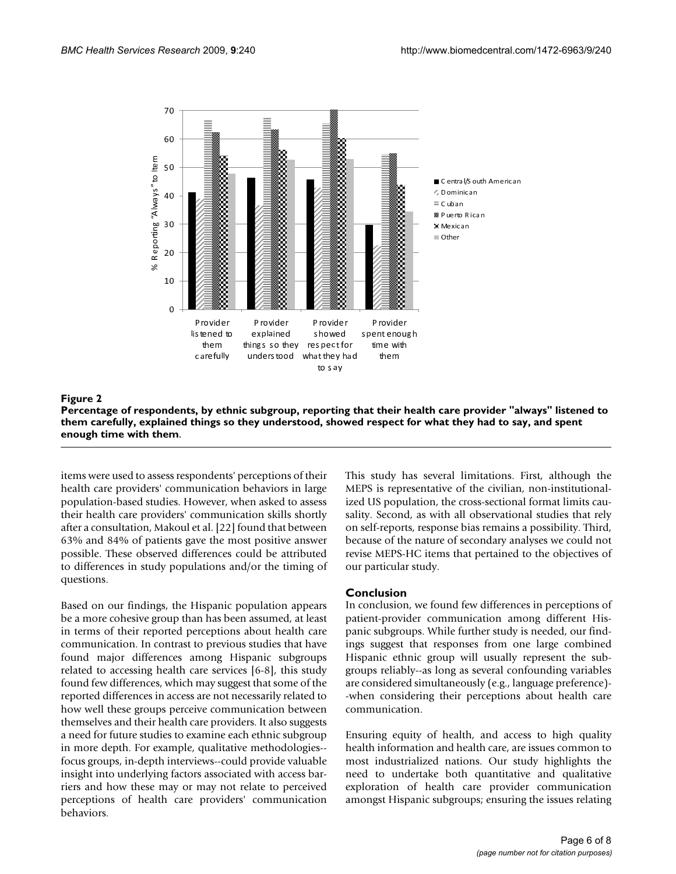

Figure 2 and 2008 and 2008 and 2008 and 2008 and 2008 and 2008 and 2008 and 2008 and 2008 and 2008 and 2008 an **Percentage of respondents, by ethnic subgroup, reporting that their health care provider "always" listened to them carefully, explained things so they understood, showed respect for what they had to say, and spent enough time with them**.

items were used to assess respondents' perceptions of their health care providers' communication behaviors in large population-based studies. However, when asked to assess their health care providers' communication skills shortly after a consultation, Makoul et al. [22] found that between 63% and 84% of patients gave the most positive answer possible. These observed differences could be attributed to differences in study populations and/or the timing of questions.

Based on our findings, the Hispanic population appears be a more cohesive group than has been assumed, at least in terms of their reported perceptions about health care communication. In contrast to previous studies that have found major differences among Hispanic subgroups related to accessing health care services [6-8], this study found few differences, which may suggest that some of the reported differences in access are not necessarily related to how well these groups perceive communication between themselves and their health care providers. It also suggests a need for future studies to examine each ethnic subgroup in more depth. For example, qualitative methodologies- focus groups, in-depth interviews--could provide valuable insight into underlying factors associated with access barriers and how these may or may not relate to perceived perceptions of health care providers' communication behaviors.

This study has several limitations. First, although the MEPS is representative of the civilian, non-institutionalized US population, the cross-sectional format limits causality. Second, as with all observational studies that rely on self-reports, response bias remains a possibility. Third, because of the nature of secondary analyses we could not revise MEPS-HC items that pertained to the objectives of our particular study.

### **Conclusion**

In conclusion, we found few differences in perceptions of patient-provider communication among different Hispanic subgroups. While further study is needed, our findings suggest that responses from one large combined Hispanic ethnic group will usually represent the subgroups reliably--as long as several confounding variables are considered simultaneously (e.g., language preference)- -when considering their perceptions about health care communication.

Ensuring equity of health, and access to high quality health information and health care, are issues common to most industrialized nations. Our study highlights the need to undertake both quantitative and qualitative exploration of health care provider communication amongst Hispanic subgroups; ensuring the issues relating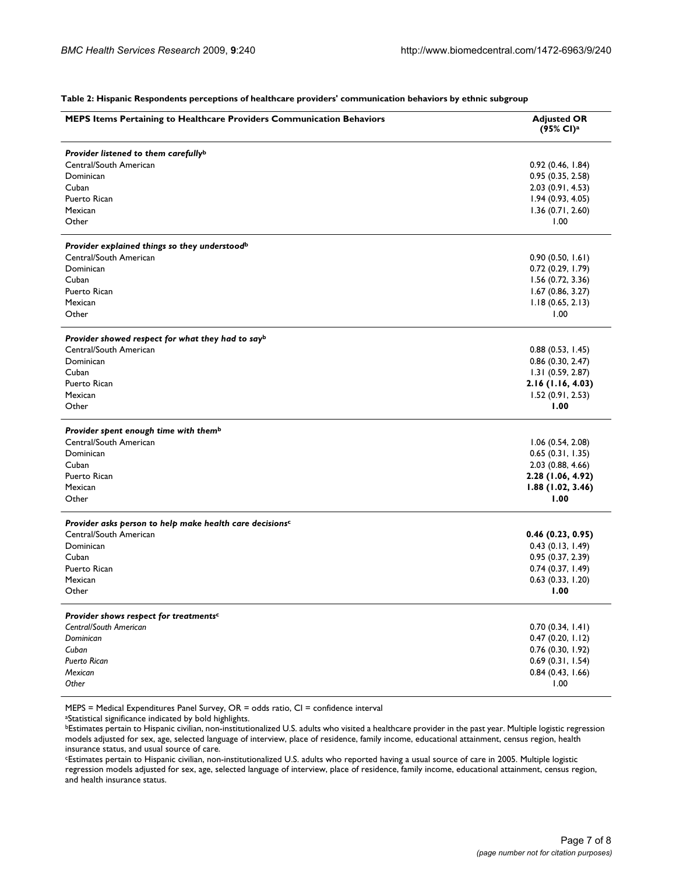| Provider listened to them carefullyb<br>Central/South American<br>0.92(0.46, 1.84)<br>Dominican<br>0.95(0.35, 2.58)<br>Cuban<br>2.03(0.91, 4.53)<br>Puerto Rican<br>1.94(0.93, 4.05)<br>Mexican<br>1.36 (0.71, 2.60)<br>Other<br>1.00<br>Provider explained things so they understood <sup>b</sup><br>Central/South American<br>0.90(0.50, 1.61)<br>Dominican<br>0.72(0.29, 1.79)<br>Cuban<br>1.56(0.72, 3.36)<br>Puerto Rican<br>$1.67$ (0.86, 3.27)<br>Mexican<br>1.18(0.65, 2.13)<br>Other<br>1.00<br>Provider showed respect for what they had to sayb<br>Central/South American<br>0.88(0.53, 1.45)<br>Dominican<br>$0.86$ (0.30, 2.47)<br>Cuban<br>1.31(0.59, 2.87)<br>Puerto Rican<br>2.16(1.16, 4.03)<br>Mexican<br>1.52(0.91, 2.53)<br>Other<br>1.00<br>Provider spent enough time with them <sup>b</sup><br>Central/South American<br>$1.06$ $(0.54, 2.08)$<br>Dominican<br>0.65(0.31, 1.35)<br>Cuban<br>$2.03$ (0.88, 4.66)<br>Puerto Rican<br>2.28 (1.06, 4.92)<br>Mexican<br>1.88(1.02, 3.46)<br>Other<br>1.00<br>Provider asks person to help make health care decisionsc<br>Central/South American<br>0.46(0.23, 0.95)<br>Dominican<br>$0.43$ (0.13, 1.49)<br>Cuban<br>0.95(0.37, 2.39)<br>Puerto Rican<br>0.74(0.37, 1.49)<br>Mexican<br>$0.63$ $(0.33, 1.20)$<br>Other<br>1.00<br>Provider shows respect for treatmentsc<br><b>Central/South American</b><br>0.70(0.34, 1.41)<br>Dominican<br>0.47(0.20, 1.12)<br>Cuban<br>0.76 (0.30, 1.92)<br><b>Puerto Rican</b><br>$0.69$ (0.31, 1.54)<br>Mexican<br>0.84(0.43, 1.66) | MEPS Items Pertaining to Healthcare Providers Communication Behaviors | <b>Adjusted OR</b><br>(95% CI) <sup>a</sup> |
|--------------------------------------------------------------------------------------------------------------------------------------------------------------------------------------------------------------------------------------------------------------------------------------------------------------------------------------------------------------------------------------------------------------------------------------------------------------------------------------------------------------------------------------------------------------------------------------------------------------------------------------------------------------------------------------------------------------------------------------------------------------------------------------------------------------------------------------------------------------------------------------------------------------------------------------------------------------------------------------------------------------------------------------------------------------------------------------------------------------------------------------------------------------------------------------------------------------------------------------------------------------------------------------------------------------------------------------------------------------------------------------------------------------------------------------------------------------------------------------------------------------------------------------------|-----------------------------------------------------------------------|---------------------------------------------|
|                                                                                                                                                                                                                                                                                                                                                                                                                                                                                                                                                                                                                                                                                                                                                                                                                                                                                                                                                                                                                                                                                                                                                                                                                                                                                                                                                                                                                                                                                                                                            |                                                                       |                                             |
|                                                                                                                                                                                                                                                                                                                                                                                                                                                                                                                                                                                                                                                                                                                                                                                                                                                                                                                                                                                                                                                                                                                                                                                                                                                                                                                                                                                                                                                                                                                                            |                                                                       |                                             |
|                                                                                                                                                                                                                                                                                                                                                                                                                                                                                                                                                                                                                                                                                                                                                                                                                                                                                                                                                                                                                                                                                                                                                                                                                                                                                                                                                                                                                                                                                                                                            |                                                                       |                                             |
|                                                                                                                                                                                                                                                                                                                                                                                                                                                                                                                                                                                                                                                                                                                                                                                                                                                                                                                                                                                                                                                                                                                                                                                                                                                                                                                                                                                                                                                                                                                                            |                                                                       |                                             |
|                                                                                                                                                                                                                                                                                                                                                                                                                                                                                                                                                                                                                                                                                                                                                                                                                                                                                                                                                                                                                                                                                                                                                                                                                                                                                                                                                                                                                                                                                                                                            |                                                                       |                                             |
|                                                                                                                                                                                                                                                                                                                                                                                                                                                                                                                                                                                                                                                                                                                                                                                                                                                                                                                                                                                                                                                                                                                                                                                                                                                                                                                                                                                                                                                                                                                                            |                                                                       |                                             |
|                                                                                                                                                                                                                                                                                                                                                                                                                                                                                                                                                                                                                                                                                                                                                                                                                                                                                                                                                                                                                                                                                                                                                                                                                                                                                                                                                                                                                                                                                                                                            |                                                                       |                                             |
|                                                                                                                                                                                                                                                                                                                                                                                                                                                                                                                                                                                                                                                                                                                                                                                                                                                                                                                                                                                                                                                                                                                                                                                                                                                                                                                                                                                                                                                                                                                                            |                                                                       |                                             |
|                                                                                                                                                                                                                                                                                                                                                                                                                                                                                                                                                                                                                                                                                                                                                                                                                                                                                                                                                                                                                                                                                                                                                                                                                                                                                                                                                                                                                                                                                                                                            |                                                                       |                                             |
|                                                                                                                                                                                                                                                                                                                                                                                                                                                                                                                                                                                                                                                                                                                                                                                                                                                                                                                                                                                                                                                                                                                                                                                                                                                                                                                                                                                                                                                                                                                                            |                                                                       |                                             |
|                                                                                                                                                                                                                                                                                                                                                                                                                                                                                                                                                                                                                                                                                                                                                                                                                                                                                                                                                                                                                                                                                                                                                                                                                                                                                                                                                                                                                                                                                                                                            |                                                                       |                                             |
|                                                                                                                                                                                                                                                                                                                                                                                                                                                                                                                                                                                                                                                                                                                                                                                                                                                                                                                                                                                                                                                                                                                                                                                                                                                                                                                                                                                                                                                                                                                                            |                                                                       |                                             |
|                                                                                                                                                                                                                                                                                                                                                                                                                                                                                                                                                                                                                                                                                                                                                                                                                                                                                                                                                                                                                                                                                                                                                                                                                                                                                                                                                                                                                                                                                                                                            |                                                                       |                                             |
|                                                                                                                                                                                                                                                                                                                                                                                                                                                                                                                                                                                                                                                                                                                                                                                                                                                                                                                                                                                                                                                                                                                                                                                                                                                                                                                                                                                                                                                                                                                                            |                                                                       |                                             |
|                                                                                                                                                                                                                                                                                                                                                                                                                                                                                                                                                                                                                                                                                                                                                                                                                                                                                                                                                                                                                                                                                                                                                                                                                                                                                                                                                                                                                                                                                                                                            |                                                                       |                                             |
|                                                                                                                                                                                                                                                                                                                                                                                                                                                                                                                                                                                                                                                                                                                                                                                                                                                                                                                                                                                                                                                                                                                                                                                                                                                                                                                                                                                                                                                                                                                                            |                                                                       |                                             |
|                                                                                                                                                                                                                                                                                                                                                                                                                                                                                                                                                                                                                                                                                                                                                                                                                                                                                                                                                                                                                                                                                                                                                                                                                                                                                                                                                                                                                                                                                                                                            |                                                                       |                                             |
|                                                                                                                                                                                                                                                                                                                                                                                                                                                                                                                                                                                                                                                                                                                                                                                                                                                                                                                                                                                                                                                                                                                                                                                                                                                                                                                                                                                                                                                                                                                                            |                                                                       |                                             |
|                                                                                                                                                                                                                                                                                                                                                                                                                                                                                                                                                                                                                                                                                                                                                                                                                                                                                                                                                                                                                                                                                                                                                                                                                                                                                                                                                                                                                                                                                                                                            |                                                                       |                                             |
|                                                                                                                                                                                                                                                                                                                                                                                                                                                                                                                                                                                                                                                                                                                                                                                                                                                                                                                                                                                                                                                                                                                                                                                                                                                                                                                                                                                                                                                                                                                                            |                                                                       |                                             |
|                                                                                                                                                                                                                                                                                                                                                                                                                                                                                                                                                                                                                                                                                                                                                                                                                                                                                                                                                                                                                                                                                                                                                                                                                                                                                                                                                                                                                                                                                                                                            |                                                                       |                                             |
|                                                                                                                                                                                                                                                                                                                                                                                                                                                                                                                                                                                                                                                                                                                                                                                                                                                                                                                                                                                                                                                                                                                                                                                                                                                                                                                                                                                                                                                                                                                                            |                                                                       |                                             |
|                                                                                                                                                                                                                                                                                                                                                                                                                                                                                                                                                                                                                                                                                                                                                                                                                                                                                                                                                                                                                                                                                                                                                                                                                                                                                                                                                                                                                                                                                                                                            |                                                                       |                                             |
|                                                                                                                                                                                                                                                                                                                                                                                                                                                                                                                                                                                                                                                                                                                                                                                                                                                                                                                                                                                                                                                                                                                                                                                                                                                                                                                                                                                                                                                                                                                                            |                                                                       |                                             |
|                                                                                                                                                                                                                                                                                                                                                                                                                                                                                                                                                                                                                                                                                                                                                                                                                                                                                                                                                                                                                                                                                                                                                                                                                                                                                                                                                                                                                                                                                                                                            |                                                                       |                                             |
|                                                                                                                                                                                                                                                                                                                                                                                                                                                                                                                                                                                                                                                                                                                                                                                                                                                                                                                                                                                                                                                                                                                                                                                                                                                                                                                                                                                                                                                                                                                                            |                                                                       |                                             |
|                                                                                                                                                                                                                                                                                                                                                                                                                                                                                                                                                                                                                                                                                                                                                                                                                                                                                                                                                                                                                                                                                                                                                                                                                                                                                                                                                                                                                                                                                                                                            |                                                                       |                                             |
|                                                                                                                                                                                                                                                                                                                                                                                                                                                                                                                                                                                                                                                                                                                                                                                                                                                                                                                                                                                                                                                                                                                                                                                                                                                                                                                                                                                                                                                                                                                                            |                                                                       |                                             |
|                                                                                                                                                                                                                                                                                                                                                                                                                                                                                                                                                                                                                                                                                                                                                                                                                                                                                                                                                                                                                                                                                                                                                                                                                                                                                                                                                                                                                                                                                                                                            |                                                                       |                                             |
|                                                                                                                                                                                                                                                                                                                                                                                                                                                                                                                                                                                                                                                                                                                                                                                                                                                                                                                                                                                                                                                                                                                                                                                                                                                                                                                                                                                                                                                                                                                                            |                                                                       |                                             |
|                                                                                                                                                                                                                                                                                                                                                                                                                                                                                                                                                                                                                                                                                                                                                                                                                                                                                                                                                                                                                                                                                                                                                                                                                                                                                                                                                                                                                                                                                                                                            |                                                                       |                                             |
|                                                                                                                                                                                                                                                                                                                                                                                                                                                                                                                                                                                                                                                                                                                                                                                                                                                                                                                                                                                                                                                                                                                                                                                                                                                                                                                                                                                                                                                                                                                                            |                                                                       |                                             |
|                                                                                                                                                                                                                                                                                                                                                                                                                                                                                                                                                                                                                                                                                                                                                                                                                                                                                                                                                                                                                                                                                                                                                                                                                                                                                                                                                                                                                                                                                                                                            |                                                                       |                                             |
|                                                                                                                                                                                                                                                                                                                                                                                                                                                                                                                                                                                                                                                                                                                                                                                                                                                                                                                                                                                                                                                                                                                                                                                                                                                                                                                                                                                                                                                                                                                                            |                                                                       |                                             |
|                                                                                                                                                                                                                                                                                                                                                                                                                                                                                                                                                                                                                                                                                                                                                                                                                                                                                                                                                                                                                                                                                                                                                                                                                                                                                                                                                                                                                                                                                                                                            |                                                                       |                                             |
|                                                                                                                                                                                                                                                                                                                                                                                                                                                                                                                                                                                                                                                                                                                                                                                                                                                                                                                                                                                                                                                                                                                                                                                                                                                                                                                                                                                                                                                                                                                                            |                                                                       |                                             |
|                                                                                                                                                                                                                                                                                                                                                                                                                                                                                                                                                                                                                                                                                                                                                                                                                                                                                                                                                                                                                                                                                                                                                                                                                                                                                                                                                                                                                                                                                                                                            |                                                                       |                                             |
|                                                                                                                                                                                                                                                                                                                                                                                                                                                                                                                                                                                                                                                                                                                                                                                                                                                                                                                                                                                                                                                                                                                                                                                                                                                                                                                                                                                                                                                                                                                                            |                                                                       |                                             |
|                                                                                                                                                                                                                                                                                                                                                                                                                                                                                                                                                                                                                                                                                                                                                                                                                                                                                                                                                                                                                                                                                                                                                                                                                                                                                                                                                                                                                                                                                                                                            |                                                                       |                                             |
|                                                                                                                                                                                                                                                                                                                                                                                                                                                                                                                                                                                                                                                                                                                                                                                                                                                                                                                                                                                                                                                                                                                                                                                                                                                                                                                                                                                                                                                                                                                                            |                                                                       |                                             |
|                                                                                                                                                                                                                                                                                                                                                                                                                                                                                                                                                                                                                                                                                                                                                                                                                                                                                                                                                                                                                                                                                                                                                                                                                                                                                                                                                                                                                                                                                                                                            |                                                                       |                                             |
|                                                                                                                                                                                                                                                                                                                                                                                                                                                                                                                                                                                                                                                                                                                                                                                                                                                                                                                                                                                                                                                                                                                                                                                                                                                                                                                                                                                                                                                                                                                                            | Other                                                                 | 1.00                                        |

MEPS = Medical Expenditures Panel Survey, OR = odds ratio, CI = confidence interval

aStatistical significance indicated by bold highlights.

bEstimates pertain to Hispanic civilian, non-institutionalized U.S. adults who visited a healthcare provider in the past year. Multiple logistic regression models adjusted for sex, age, selected language of interview, place of residence, family income, educational attainment, census region, health insurance status, and usual source of care.

cEstimates pertain to Hispanic civilian, non-institutionalized U.S. adults who reported having a usual source of care in 2005. Multiple logistic regression models adjusted for sex, age, selected language of interview, place of residence, family income, educational attainment, census region, and health insurance status.